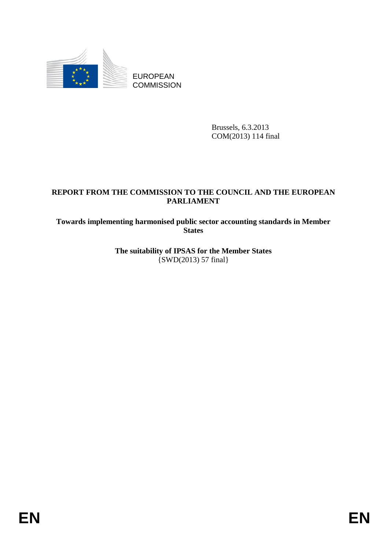

EUROPEAN **COMMISSION** 

> Brussels, 6.3.2013 COM(2013) 114 final

## **REPORT FROM THE COMMISSION TO THE COUNCIL AND THE EUROPEAN PARLIAMENT**

## **Towards implementing harmonised public sector accounting standards in Member States**

**The suitability of IPSAS for the Member States**  {SWD(2013) 57 final}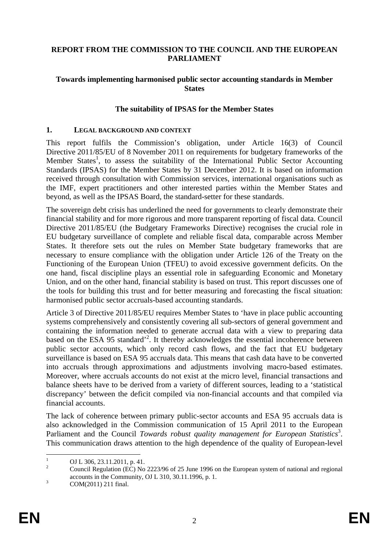#### **REPORT FROM THE COMMISSION TO THE COUNCIL AND THE EUROPEAN PARLIAMENT**

#### **Towards implementing harmonised public sector accounting standards in Member States**

#### **The suitability of IPSAS for the Member States**

#### **1. LEGAL BACKGROUND AND CONTEXT**

This report fulfils the Commission's obligation, under Article 16(3) of Council Directive 2011/85/EU of 8 November 2011 on requirements for budgetary frameworks of the Member States<sup>1</sup>, to assess the suitability of the International Public Sector Accounting Standards (IPSAS) for the Member States by 31 December 2012. It is based on information received through consultation with Commission services, international organisations such as the IMF, expert practitioners and other interested parties within the Member States and beyond, as well as the IPSAS Board, the standard-setter for these standards.

The sovereign debt crisis has underlined the need for governments to clearly demonstrate their financial stability and for more rigorous and more transparent reporting of fiscal data. Council Directive 2011/85/EU (the Budgetary Frameworks Directive) recognises the crucial role in EU budgetary surveillance of complete and reliable fiscal data, comparable across Member States. It therefore sets out the rules on Member State budgetary frameworks that are necessary to ensure compliance with the obligation under Article 126 of the Treaty on the Functioning of the European Union (TFEU) to avoid excessive government deficits. On the one hand, fiscal discipline plays an essential role in safeguarding Economic and Monetary Union, and on the other hand, financial stability is based on trust. This report discusses one of the tools for building this trust and for better measuring and forecasting the fiscal situation: harmonised public sector accruals-based accounting standards.

Article 3 of Directive 2011/85/EU requires Member States to 'have in place public accounting systems comprehensively and consistently covering all sub-sectors of general government and containing the information needed to generate accrual data with a view to preparing data based on the ESA 95 standard<sup>22</sup>. It thereby acknowledges the essential incoherence between public sector accounts, which only record cash flows, and the fact that EU budgetary surveillance is based on ESA 95 accruals data. This means that cash data have to be converted into accruals through approximations and adjustments involving macro-based estimates. Moreover, where accruals accounts do not exist at the micro level, financial transactions and balance sheets have to be derived from a variety of different sources, leading to a 'statistical discrepancy' between the deficit compiled via non-financial accounts and that compiled via financial accounts.

The lack of coherence between primary public-sector accounts and ESA 95 accruals data is also acknowledged in the Commission communication of 15 April 2011 to the European Parliament and the Council *Towards robust quality management for European Statistics*<sup>3</sup>. This communication draws attention to the high dependence of the quality of European-level

 $\frac{1}{1}$ OJ L 306, 23.11.2011, p. 41.

<sup>2</sup> Council Regulation (EC) No 2223/96 of 25 June 1996 on the European system of national and regional  $\alpha$  accounts in the Community, OJ L 310, 30.11.1996, p. 1.<br> $\alpha$ 

COM(2011) 211 final.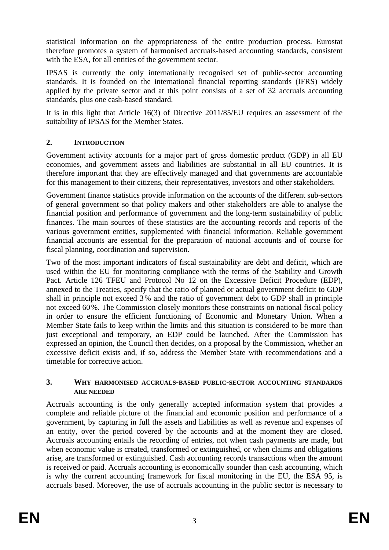statistical information on the appropriateness of the entire production process. Eurostat therefore promotes a system of harmonised accruals-based accounting standards, consistent with the ESA, for all entities of the government sector.

IPSAS is currently the only internationally recognised set of public-sector accounting standards. It is founded on the international financial reporting standards (IFRS) widely applied by the private sector and at this point consists of a set of 32 accruals accounting standards, plus one cash-based standard.

It is in this light that Article 16(3) of Directive 2011/85/EU requires an assessment of the suitability of IPSAS for the Member States.

## **2. INTRODUCTION**

Government activity accounts for a major part of gross domestic product (GDP) in all EU economies, and government assets and liabilities are substantial in all EU countries. It is therefore important that they are effectively managed and that governments are accountable for this management to their citizens, their representatives, investors and other stakeholders.

Government finance statistics provide information on the accounts of the different sub-sectors of general government so that policy makers and other stakeholders are able to analyse the financial position and performance of government and the long-term sustainability of public finances. The main sources of these statistics are the accounting records and reports of the various government entities, supplemented with financial information. Reliable government financial accounts are essential for the preparation of national accounts and of course for fiscal planning, coordination and supervision.

Two of the most important indicators of fiscal sustainability are debt and deficit, which are used within the EU for monitoring compliance with the terms of the Stability and Growth Pact. Article 126 TFEU and Protocol No 12 on the Excessive Deficit Procedure (EDP), annexed to the Treaties, specify that the ratio of planned or actual government deficit to GDP shall in principle not exceed 3% and the ratio of government debt to GDP shall in principle not exceed 60%. The Commission closely monitors these constraints on national fiscal policy in order to ensure the efficient functioning of Economic and Monetary Union. When a Member State fails to keep within the limits and this situation is considered to be more than just exceptional and temporary, an EDP could be launched. After the Commission has expressed an opinion, the Council then decides, on a proposal by the Commission, whether an excessive deficit exists and, if so, address the Member State with recommendations and a timetable for corrective action.

#### **3. WHY HARMONISED ACCRUALS-BASED PUBLIC-SECTOR ACCOUNTING STANDARDS ARE NEEDED**

Accruals accounting is the only generally accepted information system that provides a complete and reliable picture of the financial and economic position and performance of a government, by capturing in full the assets and liabilities as well as revenue and expenses of an entity, over the period covered by the accounts and at the moment they are closed. Accruals accounting entails the recording of entries, not when cash payments are made, but when economic value is created, transformed or extinguished, or when claims and obligations arise, are transformed or extinguished. Cash accounting records transactions when the amount is received or paid. Accruals accounting is economically sounder than cash accounting, which is why the current accounting framework for fiscal monitoring in the EU, the ESA 95, is accruals based. Moreover, the use of accruals accounting in the public sector is necessary to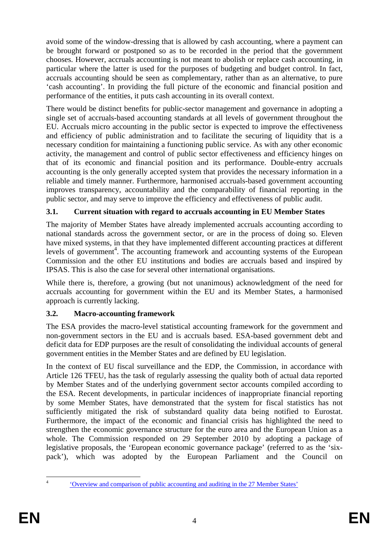avoid some of the window-dressing that is allowed by cash accounting, where a payment can be brought forward or postponed so as to be recorded in the period that the government chooses. However, accruals accounting is not meant to abolish or replace cash accounting, in particular where the latter is used for the purposes of budgeting and budget control. In fact, accruals accounting should be seen as complementary, rather than as an alternative, to pure 'cash accounting'. In providing the full picture of the economic and financial position and performance of the entities, it puts cash accounting in its overall context.

There would be distinct benefits for public-sector management and governance in adopting a single set of accruals-based accounting standards at all levels of government throughout the EU. Accruals micro accounting in the public sector is expected to improve the effectiveness and efficiency of public administration and to facilitate the securing of liquidity that is a necessary condition for maintaining a functioning public service. As with any other economic activity, the management and control of public sector effectiveness and efficiency hinges on that of its economic and financial position and its performance. Double-entry accruals accounting is the only generally accepted system that provides the necessary information in a reliable and timely manner. Furthermore, harmonised accruals-based government accounting improves transparency, accountability and the comparability of financial reporting in the public sector, and may serve to improve the efficiency and effectiveness of public audit.

# **3.1. Current situation with regard to accruals accounting in EU Member States**

The majority of Member States have already implemented accruals accounting according to national standards across the government sector, or are in the process of doing so. Eleven have mixed systems, in that they have implemented different accounting practices at different levels of government<sup>4</sup>. The accounting framework and accounting systems of the European Commission and the other EU institutions and bodies are accruals based and inspired by IPSAS. This is also the case for several other international organisations.

While there is, therefore, a growing (but not unanimous) acknowledgment of the need for accruals accounting for government within the EU and its Member States, a harmonised approach is currently lacking.

## **3.2. Macro-accounting framework**

The ESA provides the macro-level statistical accounting framework for the government and non-government sectors in the EU and is accruals based. ESA-based government debt and deficit data for EDP purposes are the result of consolidating the individual accounts of general government entities in the Member States and are defined by EU legislation.

In the context of EU fiscal surveillance and the EDP, the Commission, in accordance with Article 126 TFEU, has the task of regularly assessing the quality both of actual data reported by Member States and of the underlying government sector accounts compiled according to the ESA. Recent developments, in particular incidences of inappropriate financial reporting by some Member States, have demonstrated that the system for fiscal statistics has not sufficiently mitigated the risk of substandard quality data being notified to Eurostat. Furthermore, the impact of the economic and financial crisis has highlighted the need to strengthen the economic governance structure for the euro area and the European Union as a whole. The Commission responded on 29 September 2010 by adopting a package of legislative proposals, the 'European economic governance package' (referred to as the 'sixpack'), which was adopted by the European Parliament and the Council on

 $\overline{A}$ 

<sup>4</sup> ['Overview and comparison of public accounting and auditing in the 27 Member States'](http://epp.eurostat.ec.europa.eu/portal/page/portal/government_finance_statistics/documents/study_on_public_accounting_and_auditing_2012.pdf)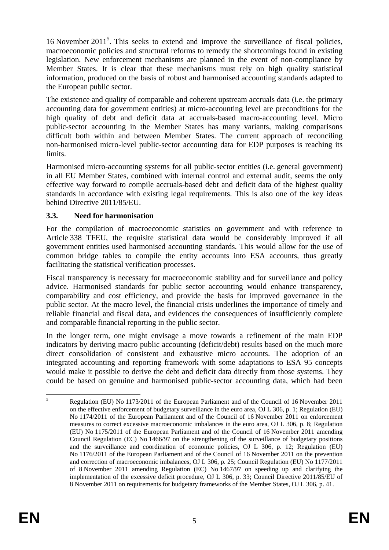16 November  $2011<sup>5</sup>$ . This seeks to extend and improve the surveillance of fiscal policies, macroeconomic policies and structural reforms to remedy the shortcomings found in existing legislation. New enforcement mechanisms are planned in the event of non-compliance by Member States. It is clear that these mechanisms must rely on high quality statistical information, produced on the basis of robust and harmonised accounting standards adapted to the European public sector.

The existence and quality of comparable and coherent upstream accruals data (i.e. the primary accounting data for government entities) at micro-accounting level are preconditions for the high quality of debt and deficit data at accruals-based macro-accounting level. Micro public-sector accounting in the Member States has many variants, making comparisons difficult both within and between Member States. The current approach of reconciling non-harmonised micro-level public-sector accounting data for EDP purposes is reaching its limits.

Harmonised micro-accounting systems for all public-sector entities (i.e. general government) in all EU Member States, combined with internal control and external audit, seems the only effective way forward to compile accruals-based debt and deficit data of the highest quality standards in accordance with existing legal requirements. This is also one of the key ideas behind Directive 2011/85/EU.

## **3.3. Need for harmonisation**

For the compilation of macroeconomic statistics on government and with reference to Article 338 TFEU, the requisite statistical data would be considerably improved if all government entities used harmonised accounting standards. This would allow for the use of common bridge tables to compile the entity accounts into ESA accounts, thus greatly facilitating the statistical verification processes.

Fiscal transparency is necessary for macroeconomic stability and for surveillance and policy advice. Harmonised standards for public sector accounting would enhance transparency, comparability and cost efficiency, and provide the basis for improved governance in the public sector. At the macro level, the financial crisis underlines the importance of timely and reliable financial and fiscal data, and evidences the consequences of insufficiently complete and comparable financial reporting in the public sector.

In the longer term, one might envisage a move towards a refinement of the main EDP indicators by deriving macro public accounting (deficit/debt) results based on the much more direct consolidation of consistent and exhaustive micro accounts. The adoption of an integrated accounting and reporting framework with some adaptations to ESA 95 concepts would make it possible to derive the debt and deficit data directly from those systems. They could be based on genuine and harmonised public-sector accounting data, which had been

 $\frac{1}{5}$  Regulation (EU) No 1173/2011 of the European Parliament and of the Council of 16 November 2011 on the effective enforcement of budgetary surveillance in the euro area, OJ L 306, p. 1; Regulation (EU) No 1174/2011 of the European Parliament and of the Council of 16 November 2011 on enforcement measures to correct excessive macroeconomic imbalances in the euro area, OJ L 306, p. 8; Regulation (EU) No 1175/2011 of the European Parliament and of the Council of 16 November 2011 amending Council Regulation (EC) No 1466/97 on the strengthening of the surveillance of budgetary positions and the surveillance and coordination of economic policies, OJ L 306, p. 12; Regulation (EU) No 1176/2011 of the European Parliament and of the Council of 16 November 2011 on the prevention and correction of macroeconomic imbalances, OJ L 306, p. 25; Council Regulation (EU) No 1177/2011 of 8 November 2011 amending Regulation (EC) No 1467/97 on speeding up and clarifying the implementation of the excessive deficit procedure, OJ L 306, p. 33; Council Directive 2011/85/EU of 8 November 2011 on requirements for budgetary frameworks of the Member States, OJ L 306, p. 41.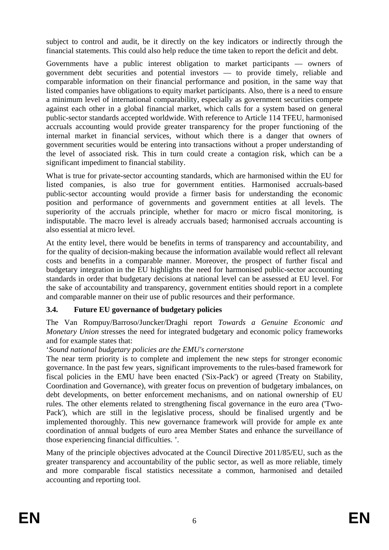subject to control and audit, be it directly on the key indicators or indirectly through the financial statements. This could also help reduce the time taken to report the deficit and debt.

Governments have a public interest obligation to market participants — owners of government debt securities and potential investors — to provide timely, reliable and comparable information on their financial performance and position, in the same way that listed companies have obligations to equity market participants. Also, there is a need to ensure a minimum level of international comparability, especially as government securities compete against each other in a global financial market, which calls for a system based on general public-sector standards accepted worldwide. With reference to Article 114 TFEU, harmonised accruals accounting would provide greater transparency for the proper functioning of the internal market in financial services, without which there is a danger that owners of government securities would be entering into transactions without a proper understanding of the level of associated risk. This in turn could create a contagion risk, which can be a significant impediment to financial stability.

What is true for private-sector accounting standards, which are harmonised within the EU for listed companies, is also true for government entities. Harmonised accruals-based public-sector accounting would provide a firmer basis for understanding the economic position and performance of governments and government entities at all levels. The superiority of the accruals principle, whether for macro or micro fiscal monitoring, is indisputable. The macro level is already accruals based; harmonised accruals accounting is also essential at micro level.

At the entity level, there would be benefits in terms of transparency and accountability, and for the quality of decision-making because the information available would reflect all relevant costs and benefits in a comparable manner. Moreover, the prospect of further fiscal and budgetary integration in the EU highlights the need for harmonised public-sector accounting standards in order that budgetary decisions at national level can be assessed at EU level. For the sake of accountability and transparency, government entities should report in a complete and comparable manner on their use of public resources and their performance.

## **3.4. Future EU governance of budgetary policies**

The Van Rompuy/Barroso/Juncker/Draghi report *Towards a Genuine Economic and Monetary Union* stresses the need for integrated budgetary and economic policy frameworks and for example states that:

## '*Sound national budgetary policies are the EMU's cornerstone*

The near term priority is to complete and implement the new steps for stronger economic governance. In the past few years, significant improvements to the rules-based framework for fiscal policies in the EMU have been enacted ('Six-Pack') or agreed (Treaty on Stability, Coordination and Governance), with greater focus on prevention of budgetary imbalances, on debt developments, on better enforcement mechanisms, and on national ownership of EU rules. The other elements related to strengthening fiscal governance in the euro area ('Two-Pack'), which are still in the legislative process, should be finalised urgently and be implemented thoroughly. This new governance framework will provide for ample ex ante coordination of annual budgets of euro area Member States and enhance the surveillance of those experiencing financial difficulties. '.

Many of the principle objectives advocated at the Council Directive 2011/85/EU, such as the greater transparency and accountability of the public sector, as well as more reliable, timely and more comparable fiscal statistics necessitate a common, harmonised and detailed accounting and reporting tool.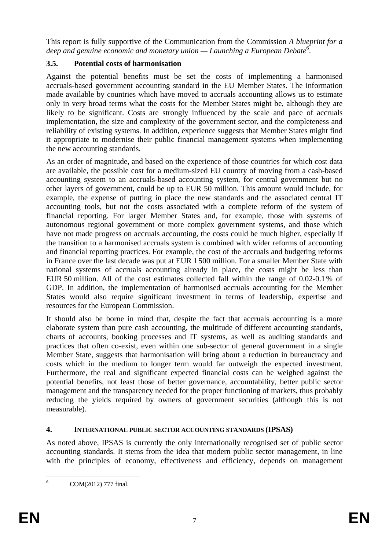This report is fully supportive of the Communication from the Commission *A blueprint for a deep and genuine economic and monetary union — Launching a European Debate*<sup>6</sup> .

## **3.5. Potential costs of harmonisation**

Against the potential benefits must be set the costs of implementing a harmonised accruals-based government accounting standard in the EU Member States. The information made available by countries which have moved to accruals accounting allows us to estimate only in very broad terms what the costs for the Member States might be, although they are likely to be significant. Costs are strongly influenced by the scale and pace of accruals implementation, the size and complexity of the government sector, and the completeness and reliability of existing systems. In addition, experience suggests that Member States might find it appropriate to modernise their public financial management systems when implementing the new accounting standards.

As an order of magnitude, and based on the experience of those countries for which cost data are available, the possible cost for a medium-sized EU country of moving from a cash-based accounting system to an accruals-based accounting system, for central government but no other layers of government, could be up to EUR 50 million. This amount would include, for example, the expense of putting in place the new standards and the associated central IT accounting tools, but not the costs associated with a complete reform of the system of financial reporting. For larger Member States and, for example, those with systems of autonomous regional government or more complex government systems, and those which have not made progress on accruals accounting, the costs could be much higher, especially if the transition to a harmonised accruals system is combined with wider reforms of accounting and financial reporting practices. For example, the cost of the accruals and budgeting reforms in France over the last decade was put at EUR 1500 million. For a smaller Member State with national systems of accruals accounting already in place, the costs might be less than EUR 50 million. All of the cost estimates collected fall within the range of 0.02-0.1% of GDP. In addition, the implementation of harmonised accruals accounting for the Member States would also require significant investment in terms of leadership, expertise and resources for the European Commission.

It should also be borne in mind that, despite the fact that accruals accounting is a more elaborate system than pure cash accounting, the multitude of different accounting standards, charts of accounts, booking processes and IT systems, as well as auditing standards and practices that often co-exist, even within one sub-sector of general government in a single Member State, suggests that harmonisation will bring about a reduction in bureaucracy and costs which in the medium to longer term would far outweigh the expected investment. Furthermore, the real and significant expected financial costs can be weighed against the potential benefits, not least those of better governance, accountability, better public sector management and the transparency needed for the proper functioning of markets, thus probably reducing the yields required by owners of government securities (although this is not measurable).

## **4. INTERNATIONAL PUBLIC SECTOR ACCOUNTING STANDARDS (IPSAS)**

As noted above, IPSAS is currently the only internationally recognised set of public sector accounting standards. It stems from the idea that modern public sector management, in line with the principles of economy, effectiveness and efficiency, depends on management

 $\frac{1}{6}$ COM(2012) 777 final.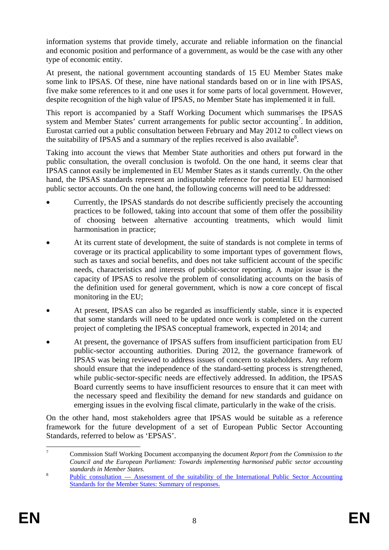information systems that provide timely, accurate and reliable information on the financial and economic position and performance of a government, as would be the case with any other type of economic entity.

At present, the national government accounting standards of 15 EU Member States make some link to IPSAS. Of these, nine have national standards based on or in line with IPSAS, five make some references to it and one uses it for some parts of local government. However, despite recognition of the high value of IPSAS, no Member State has implemented it in full.

This report is accompanied by a Staff Working Document which summarises the IPSAS system and Member States' current arrangements for public sector accounting<sup>7</sup>. In addition, Eurostat carried out a public consultation between February and May 2012 to collect views on the suitability of IPSAS and a summary of the replies received is also available<sup>8</sup>.

Taking into account the views that Member State authorities and others put forward in the public consultation, the overall conclusion is twofold. On the one hand, it seems clear that IPSAS cannot easily be implemented in EU Member States as it stands currently. On the other hand, the IPSAS standards represent an indisputable reference for potential EU harmonised public sector accounts. On the one hand, the following concerns will need to be addressed:

- Currently, the IPSAS standards do not describe sufficiently precisely the accounting practices to be followed, taking into account that some of them offer the possibility of choosing between alternative accounting treatments, which would limit harmonisation in practice;
- At its current state of development, the suite of standards is not complete in terms of coverage or its practical applicability to some important types of government flows, such as taxes and social benefits, and does not take sufficient account of the specific needs, characteristics and interests of public-sector reporting. A major issue is the capacity of IPSAS to resolve the problem of consolidating accounts on the basis of the definition used for general government, which is now a core concept of fiscal monitoring in the EU;
- At present, IPSAS can also be regarded as insufficiently stable, since it is expected that some standards will need to be updated once work is completed on the current project of completing the IPSAS conceptual framework, expected in 2014; and
- At present, the governance of IPSAS suffers from insufficient participation from EU public-sector accounting authorities. During 2012, the governance framework of IPSAS was being reviewed to address issues of concern to stakeholders. Any reform should ensure that the independence of the standard-setting process is strengthened, while public-sector-specific needs are effectively addressed. In addition, the IPSAS Board currently seems to have insufficient resources to ensure that it can meet with the necessary speed and flexibility the demand for new standards and guidance on emerging issues in the evolving fiscal climate, particularly in the wake of the crisis.

On the other hand, most stakeholders agree that IPSAS would be suitable as a reference framework for the future development of a set of European Public Sector Accounting Standards, referred to below as 'EPSAS'.

 $\frac{1}{7}$  Commission Staff Working Document accompanying the document *Report from the Commission to the Council and the European Parliament: Towards implementing harmonised public sector accounting* 

*standards in Member States.*<br><sup>8</sup> Public consultation — Assessment of the suitability of the International Public Sector Accounting [Standards for the Member States: Summary of responses.](http://epp.eurostat.ec.europa.eu/cache/ITY_PUBLIC/D4_2012/EN/D4_2012-EN.PDF)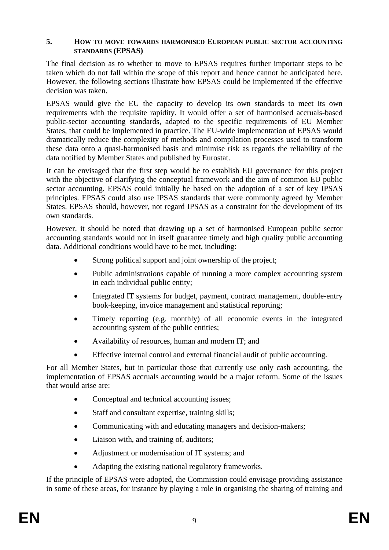#### **5. HOW TO MOVE TOWARDS HARMONISED EUROPEAN PUBLIC SECTOR ACCOUNTING STANDARDS (EPSAS)**

The final decision as to whether to move to EPSAS requires further important steps to be taken which do not fall within the scope of this report and hence cannot be anticipated here. However, the following sections illustrate how EPSAS could be implemented if the effective decision was taken.

EPSAS would give the EU the capacity to develop its own standards to meet its own requirements with the requisite rapidity. It would offer a set of harmonised accruals-based public-sector accounting standards, adapted to the specific requirements of EU Member States, that could be implemented in practice. The EU-wide implementation of EPSAS would dramatically reduce the complexity of methods and compilation processes used to transform these data onto a quasi-harmonised basis and minimise risk as regards the reliability of the data notified by Member States and published by Eurostat.

It can be envisaged that the first step would be to establish EU governance for this project with the objective of clarifying the conceptual framework and the aim of common EU public sector accounting. EPSAS could initially be based on the adoption of a set of key IPSAS principles. EPSAS could also use IPSAS standards that were commonly agreed by Member States. EPSAS should, however, not regard IPSAS as a constraint for the development of its own standards.

However, it should be noted that drawing up a set of harmonised European public sector accounting standards would not in itself guarantee timely and high quality public accounting data. Additional conditions would have to be met, including:

- Strong political support and joint ownership of the project;
- Public administrations capable of running a more complex accounting system in each individual public entity;
- Integrated IT systems for budget, payment, contract management, double-entry book-keeping, invoice management and statistical reporting;
- Timely reporting (e.g. monthly) of all economic events in the integrated accounting system of the public entities;
- Availability of resources, human and modern IT; and
- Effective internal control and external financial audit of public accounting.

For all Member States, but in particular those that currently use only cash accounting, the implementation of EPSAS accruals accounting would be a major reform. Some of the issues that would arise are:

- Conceptual and technical accounting issues;
- Staff and consultant expertise, training skills;
- Communicating with and educating managers and decision-makers;
- Liaison with, and training of, auditors;
- Adjustment or modernisation of IT systems; and
- Adapting the existing national regulatory frameworks.

If the principle of EPSAS were adopted, the Commission could envisage providing assistance in some of these areas, for instance by playing a role in organising the sharing of training and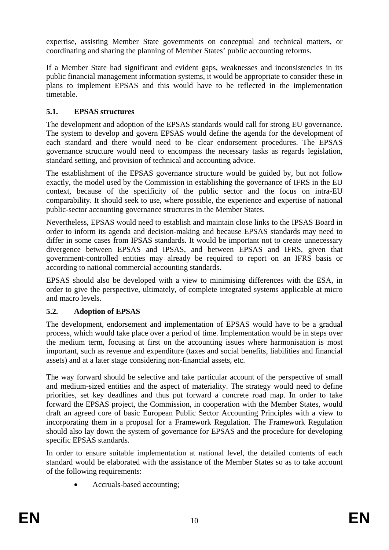expertise, assisting Member State governments on conceptual and technical matters, or coordinating and sharing the planning of Member States' public accounting reforms.

If a Member State had significant and evident gaps, weaknesses and inconsistencies in its public financial management information systems, it would be appropriate to consider these in plans to implement EPSAS and this would have to be reflected in the implementation timetable.

## **5.1. EPSAS structures**

The development and adoption of the EPSAS standards would call for strong EU governance. The system to develop and govern EPSAS would define the agenda for the development of each standard and there would need to be clear endorsement procedures. The EPSAS governance structure would need to encompass the necessary tasks as regards legislation, standard setting, and provision of technical and accounting advice.

The establishment of the EPSAS governance structure would be guided by, but not follow exactly, the model used by the Commission in establishing the governance of IFRS in the EU context, because of the specificity of the public sector and the focus on intra-EU comparability. It should seek to use, where possible, the experience and expertise of national public-sector accounting governance structures in the Member States.

Nevertheless, EPSAS would need to establish and maintain close links to the IPSAS Board in order to inform its agenda and decision-making and because EPSAS standards may need to differ in some cases from IPSAS standards. It would be important not to create unnecessary divergence between EPSAS and IPSAS, and between EPSAS and IFRS, given that government-controlled entities may already be required to report on an IFRS basis or according to national commercial accounting standards.

EPSAS should also be developed with a view to minimising differences with the ESA, in order to give the perspective, ultimately, of complete integrated systems applicable at micro and macro levels.

## **5.2. Adoption of EPSAS**

The development, endorsement and implementation of EPSAS would have to be a gradual process, which would take place over a period of time. Implementation would be in steps over the medium term, focusing at first on the accounting issues where harmonisation is most important, such as revenue and expenditure (taxes and social benefits, liabilities and financial assets) and at a later stage considering non-financial assets, etc.

The way forward should be selective and take particular account of the perspective of small and medium-sized entities and the aspect of materiality. The strategy would need to define priorities, set key deadlines and thus put forward a concrete road map. In order to take forward the EPSAS project, the Commission, in cooperation with the Member States, would draft an agreed core of basic European Public Sector Accounting Principles with a view to incorporating them in a proposal for a Framework Regulation. The Framework Regulation should also lay down the system of governance for EPSAS and the procedure for developing specific EPSAS standards.

In order to ensure suitable implementation at national level, the detailed contents of each standard would be elaborated with the assistance of the Member States so as to take account of the following requirements:

• Accruals-based accounting;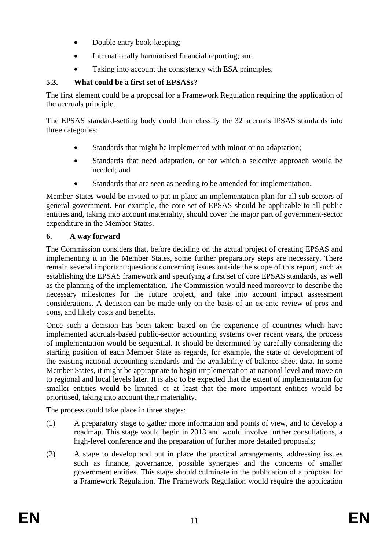- Double entry book-keeping;
- Internationally harmonised financial reporting; and
- Taking into account the consistency with ESA principles.

## **5.3. What could be a first set of EPSASs?**

The first element could be a proposal for a Framework Regulation requiring the application of the accruals principle.

The EPSAS standard-setting body could then classify the 32 accruals IPSAS standards into three categories:

- Standards that might be implemented with minor or no adaptation:
- Standards that need adaptation, or for which a selective approach would be needed; and
- Standards that are seen as needing to be amended for implementation.

Member States would be invited to put in place an implementation plan for all sub-sectors of general government. For example, the core set of EPSAS should be applicable to all public entities and, taking into account materiality, should cover the major part of government-sector expenditure in the Member States.

## **6. A way forward**

The Commission considers that, before deciding on the actual project of creating EPSAS and implementing it in the Member States, some further preparatory steps are necessary. There remain several important questions concerning issues outside the scope of this report, such as establishing the EPSAS framework and specifying a first set of core EPSAS standards, as well as the planning of the implementation. The Commission would need moreover to describe the necessary milestones for the future project, and take into account impact assessment considerations. A decision can be made only on the basis of an ex-ante review of pros and cons, and likely costs and benefits.

Once such a decision has been taken: based on the experience of countries which have implemented accruals-based public-sector accounting systems over recent years, the process of implementation would be sequential. It should be determined by carefully considering the starting position of each Member State as regards, for example, the state of development of the existing national accounting standards and the availability of balance sheet data. In some Member States, it might be appropriate to begin implementation at national level and move on to regional and local levels later. It is also to be expected that the extent of implementation for smaller entities would be limited, or at least that the more important entities would be prioritised, taking into account their materiality.

The process could take place in three stages:

- (1) A preparatory stage to gather more information and points of view, and to develop a roadmap. This stage would begin in 2013 and would involve further consultations, a high-level conference and the preparation of further more detailed proposals;
- (2) A stage to develop and put in place the practical arrangements, addressing issues such as finance, governance, possible synergies and the concerns of smaller government entities. This stage should culminate in the publication of a proposal for a Framework Regulation. The Framework Regulation would require the application